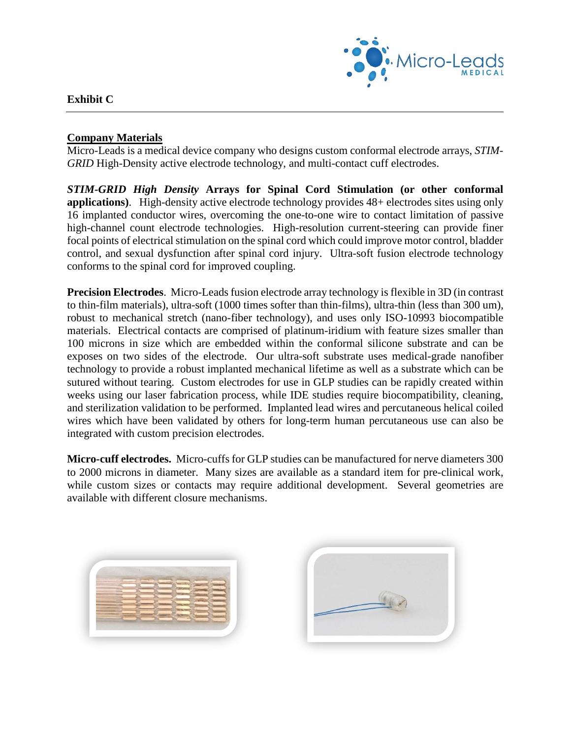

## **Exhibit C**

## **Company Materials**

Micro-Leads is a medical device company who designs custom conformal electrode arrays, *STIM-GRID* High-Density active electrode technology, and multi-contact cuff electrodes.

*STIM-GRID High Density* **Arrays for Spinal Cord Stimulation (or other conformal applications)**. High-density active electrode technology provides 48+ electrodes sites using only 16 implanted conductor wires, overcoming the one-to-one wire to contact limitation of passive high-channel count electrode technologies. High-resolution current-steering can provide finer focal points of electrical stimulation on the spinal cord which could improve motor control, bladder control, and sexual dysfunction after spinal cord injury. Ultra-soft fusion electrode technology conforms to the spinal cord for improved coupling.

**Precision Electrodes**. Micro-Leads fusion electrode array technology is flexible in 3D (in contrast to thin-film materials), ultra-soft (1000 times softer than thin-films), ultra-thin (less than 300 um), robust to mechanical stretch (nano-fiber technology), and uses only ISO-10993 biocompatible materials. Electrical contacts are comprised of platinum-iridium with feature sizes smaller than 100 microns in size which are embedded within the conformal silicone substrate and can be exposes on two sides of the electrode. Our ultra-soft substrate uses medical-grade nanofiber technology to provide a robust implanted mechanical lifetime as well as a substrate which can be sutured without tearing. Custom electrodes for use in GLP studies can be rapidly created within weeks using our laser fabrication process, while IDE studies require biocompatibility, cleaning, and sterilization validation to be performed. Implanted lead wires and percutaneous helical coiled wires which have been validated by others for long-term human percutaneous use can also be integrated with custom precision electrodes.

**Micro-cuff electrodes.** Micro-cuffs for GLP studies can be manufactured for nerve diameters 300 to 2000 microns in diameter. Many sizes are available as a standard item for pre-clinical work, while custom sizes or contacts may require additional development. Several geometries are available with different closure mechanisms.